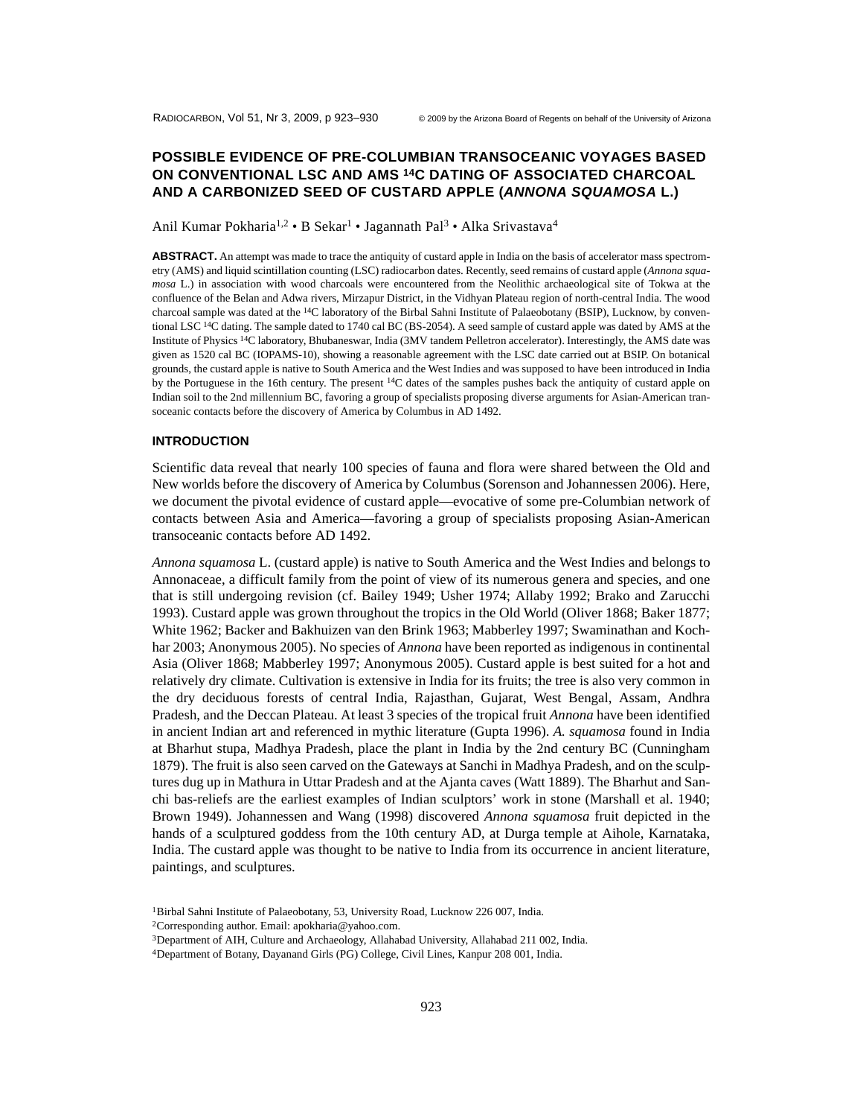# **POSSIBLE EVIDENCE OF PRE-COLUMBIAN TRANSOCEANIC VOYAGES BASED ON CONVENTIONAL LSC AND AMS 14C DATING OF ASSOCIATED CHARCOAL AND A CARBONIZED SEED OF CUSTARD APPLE (***ANNONA SQUAMOSA* **L.)**

Anil Kumar Pokharia<sup>1,2</sup> • B Sekar<sup>1</sup> • Jagannath Pal<sup>3</sup> • Alka Srivastava<sup>4</sup>

**ABSTRACT.** An attempt was made to trace the antiquity of custard apple in India on the basis of accelerator mass spectrometry (AMS) and liquid scintillation counting (LSC) radiocarbon dates. Recently, seed remains of custard apple (*Annona squamosa* L.) in association with wood charcoals were encountered from the Neolithic archaeological site of Tokwa at the confluence of the Belan and Adwa rivers, Mirzapur District, in the Vidhyan Plateau region of north-central India. The wood charcoal sample was dated at the <sup>14</sup>C laboratory of the Birbal Sahni Institute of Palaeobotany (BSIP), Lucknow, by conventional LSC 14C dating. The sample dated to 1740 cal BC (BS-2054). A seed sample of custard apple was dated by AMS at the Institute of Physics 14C laboratory, Bhubaneswar, India (3MV tandem Pelletron accelerator). Interestingly, the AMS date was given as 1520 cal BC (IOPAMS-10), showing a reasonable agreement with the LSC date carried out at BSIP. On botanical grounds, the custard apple is native to South America and the West Indies and was supposed to have been introduced in India by the Portuguese in the 16th century. The present <sup>14</sup>C dates of the samples pushes back the antiquity of custard apple on Indian soil to the 2nd millennium BC, favoring a group of specialists proposing diverse arguments for Asian-American transoceanic contacts before the discovery of America by Columbus in AD 1492.

## **INTRODUCTION**

Scientific data reveal that nearly 100 species of fauna and flora were shared between the Old and New worlds before the discovery of America by Columbus (Sorenson and Johannessen 2006). Here, we document the pivotal evidence of custard apple—evocative of some pre-Columbian network of contacts between Asia and America—favoring a group of specialists proposing Asian-American transoceanic contacts before AD 1492.

*Annona squamosa* L. (custard apple) is native to South America and the West Indies and belongs to Annonaceae, a difficult family from the point of view of its numerous genera and species, and one that is still undergoing revision (cf. Bailey 1949; Usher 1974; Allaby 1992; Brako and Zarucchi 1993). Custard apple was grown throughout the tropics in the Old World (Oliver 1868; Baker 1877; White 1962; Backer and Bakhuizen van den Brink 1963; Mabberley 1997; Swaminathan and Kochhar 2003; Anonymous 2005). No species of *Annona* have been reported as indigenous in continental Asia (Oliver 1868; Mabberley 1997; Anonymous 2005). Custard apple is best suited for a hot and relatively dry climate. Cultivation is extensive in India for its fruits; the tree is also very common in the dry deciduous forests of central India, Rajasthan, Gujarat, West Bengal, Assam, Andhra Pradesh, and the Deccan Plateau. At least 3 species of the tropical fruit *Annona* have been identified in ancient Indian art and referenced in mythic literature (Gupta 1996). *A. squamosa* found in India at Bharhut stupa, Madhya Pradesh, place the plant in India by the 2nd century BC (Cunningham 1879). The fruit is also seen carved on the Gateways at Sanchi in Madhya Pradesh, and on the sculptures dug up in Mathura in Uttar Pradesh and at the Ajanta caves (Watt 1889). The Bharhut and Sanchi bas-reliefs are the earliest examples of Indian sculptors' work in stone (Marshall et al. 1940; Brown 1949). Johannessen and Wang (1998) discovered *Annona squamosa* fruit depicted in the hands of a sculptured goddess from the 10th century AD, at Durga temple at Aihole, Karnataka, India. The custard apple was thought to be native to India from its occurrence in ancient literature, paintings, and sculptures.

<sup>1</sup>Birbal Sahni Institute of Palaeobotany, 53, University Road, Lucknow 226 007, India.

<sup>2</sup>Corresponding author. Email: apokharia@yahoo.com.

<sup>3</sup>Department of AIH, Culture and Archaeology, Allahabad University, Allahabad 211 002, India.

<sup>4</sup>Department of Botany, Dayanand Girls (PG) College, Civil Lines, Kanpur 208 001, India.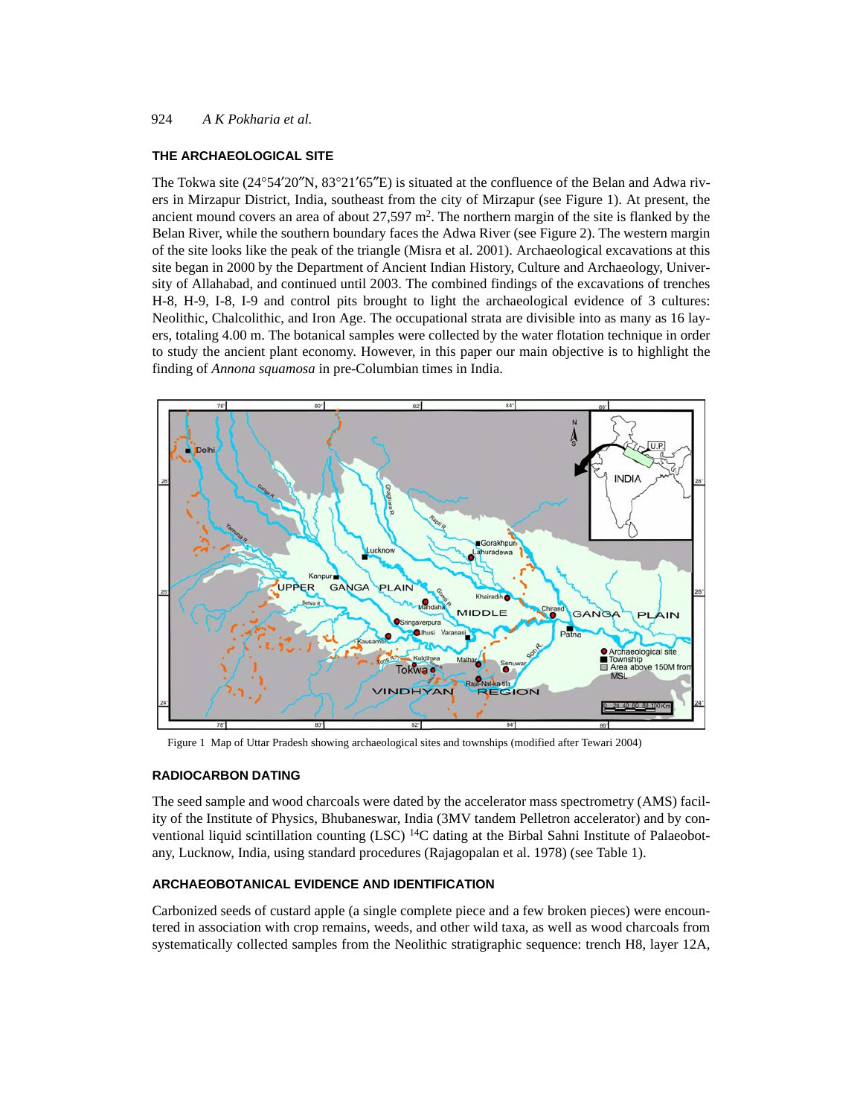### 924 *A K Pokharia et al.*

### **THE ARCHAEOLOGICAL SITE**

The Tokwa site (24°54′20″N, 83°21′65″E) is situated at the confluence of the Belan and Adwa rivers in Mirzapur District, India, southeast from the city of Mirzapur (see Figure 1). At present, the ancient mound covers an area of about  $27,597$  m<sup>2</sup>. The northern margin of the site is flanked by the Belan River, while the southern boundary faces the Adwa River (see Figure 2). The western margin of the site looks like the peak of the triangle (Misra et al. 2001). Archaeological excavations at this site began in 2000 by the Department of Ancient Indian History, Culture and Archaeology, University of Allahabad, and continued until 2003. The combined findings of the excavations of trenches H-8, H-9, I-8, I-9 and control pits brought to light the archaeological evidence of 3 cultures: Neolithic, Chalcolithic, and Iron Age. The occupational strata are divisible into as many as 16 layers, totaling 4.00 m. The botanical samples were collected by the water flotation technique in order to study the ancient plant economy. However, in this paper our main objective is to highlight the finding of *Annona squamosa* in pre-Columbian times in India.



Figure 1 Map of Uttar Pradesh showing archaeological sites and townships (modified after Tewari 2004)

## **RADIOCARBON DATING**

The seed sample and wood charcoals were dated by the accelerator mass spectrometry (AMS) facility of the Institute of Physics, Bhubaneswar, India (3MV tandem Pelletron accelerator) and by conventional liquid scintillation counting  $(LSC)^{14}C$  dating at the Birbal Sahni Institute of Palaeobotany, Lucknow, India, using standard procedures (Rajagopalan et al. 1978) (see Table 1).

## **ARCHAEOBOTANICAL EVIDENCE AND IDENTIFICATION**

Carbonized seeds of custard apple (a single complete piece and a few broken pieces) were encountered in association with crop remains, weeds, and other wild taxa, as well as wood charcoals from systematically collected samples from the Neolithic stratigraphic sequence: trench H8, layer 12A,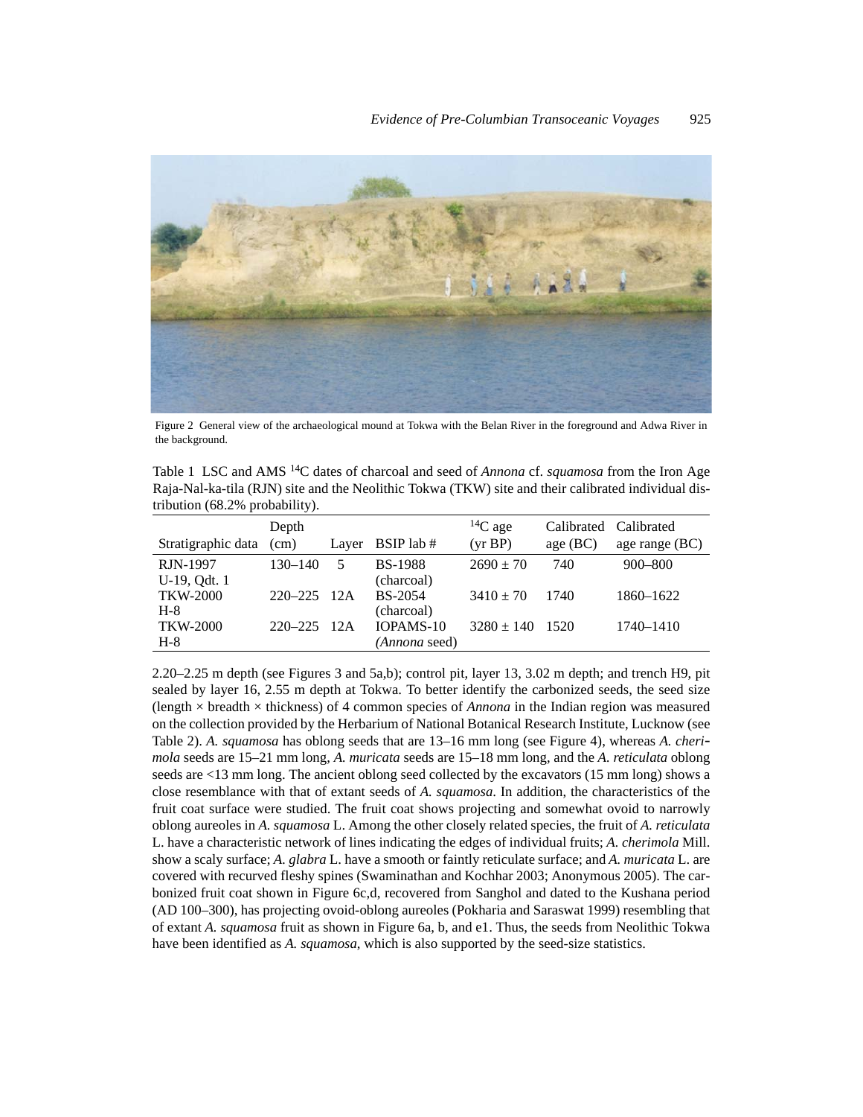

Figure 2 General view of the archaeological mound at Tokwa with the Belan River in the foreground and Adwa River in the background.

Table 1 LSC and AMS 14C dates of charcoal and seed of *Annona* cf. *squamosa* from the Iron Age Raja-Nal-ka-tila (RJN) site and the Neolithic Tokwa (TKW) site and their calibrated individual distribution (68.2% probability).

|                    | Depth       |        |                      | ${}^{14}C$ age | Calibrated | Calibrated       |
|--------------------|-------------|--------|----------------------|----------------|------------|------------------|
| Stratigraphic data | (cm)        |        | Layer $BSIP$ lab #   | (yr BP)        | age (BC)   | age range $(BC)$ |
| RJN-1997           | 130–140     | 5      | <b>BS-1988</b>       | $2690 \pm 70$  | 740        | $900 - 800$      |
| U-19, Qdt. 1       |             |        | (charcoal)           |                |            |                  |
| TKW-2000           | $220 - 225$ | - 12A  | <b>BS-2054</b>       | $3410 \pm 70$  | 1740       | 1860-1622        |
| $H-8$              |             |        | (charcoal)           |                |            |                  |
| TKW-2000           | $220 - 225$ | $-12A$ | IOPAMS-10            | $3280 \pm 140$ | 1520       | 1740–1410        |
| $H-8$              |             |        | <i>(Annona seed)</i> |                |            |                  |

2.20–2.25 m depth (see Figures 3 and 5a,b); control pit, layer 13, 3.02 m depth; and trench H9, pit sealed by layer 16, 2.55 m depth at Tokwa. To better identify the carbonized seeds, the seed size (length  $\times$  breadth  $\times$  thickness) of 4 common species of *Annona* in the Indian region was measured on the collection provided by the Herbarium of National Botanical Research Institute, Lucknow (see Table 2). *A. squamosa* has oblong seeds that are 13–16 mm long (see Figure 4), whereas *A. cheri mola* seeds are 15–21 mm long, *A. muricata* seeds are 15–18 mm long, and the *A. reticulata* oblong seeds are <13 mm long. The ancient oblong seed collected by the excavators (15 mm long) shows a close resemblance with that of extant seeds of *A. squamosa*. In addition, the characteristics of the fruit coat surface were studied. The fruit coat shows projecting and somewhat ovoid to narrowly oblong aureoles in *A. squamosa* L. Among the other closely related species, the fruit of *A. reticulata* L. have a characteristic network of lines indicating the edges of individual fruits; *A. cherimola* Mill. show a scaly surface; *A. glabra* L. have a smooth or faintly reticulate surface; and *A. muricata* L. are covered with recurved fleshy spines (Swaminathan and Kochhar 2003; Anonymous 2005). The carbonized fruit coat shown in Figure 6c,d, recovered from Sanghol and dated to the Kushana period (AD 100–300), has projecting ovoid-oblong aureoles (Pokharia and Saraswat 1999) resembling that of extant *A. squamosa* fruit as shown in Figure 6a, b, and e1. Thus, the seeds from Neolithic Tokwa have been identified as *A. squamosa*, which is also supported by the seed-size statistics.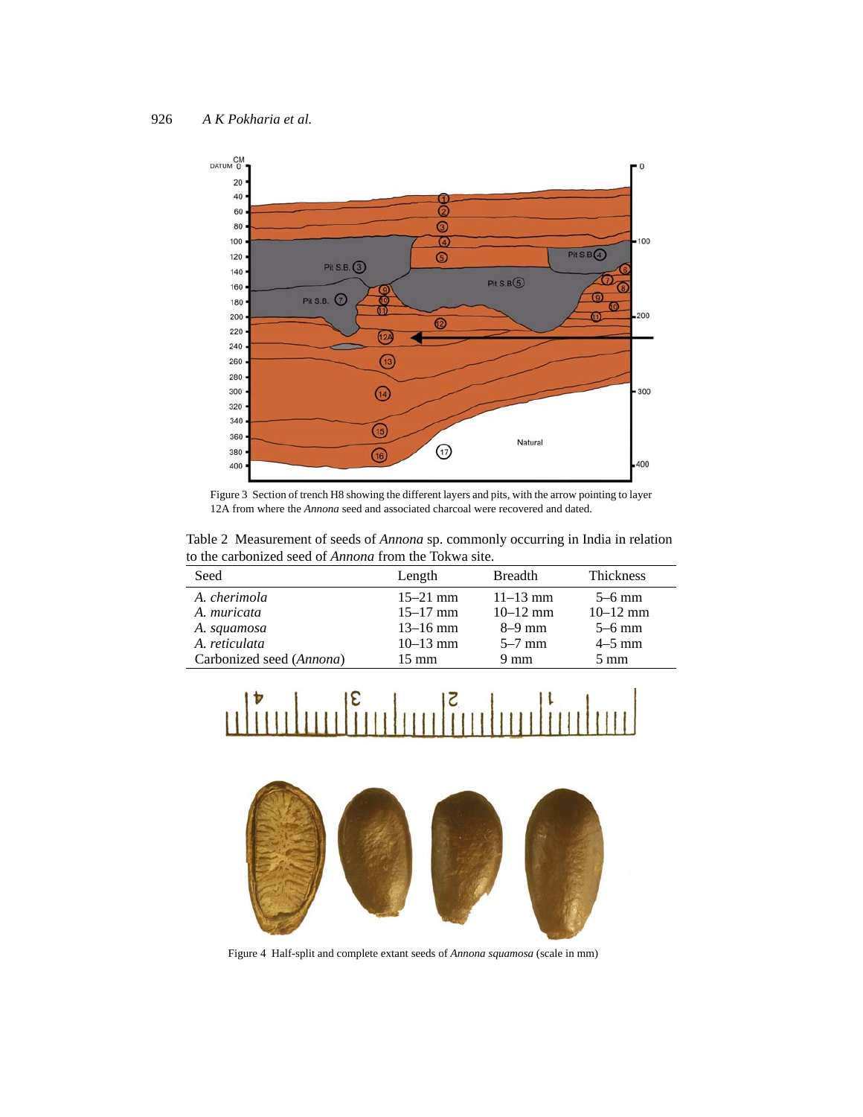

Figure 3 Section of trench H8 showing the different layers and pits, with the arrow pointing to layer 12A from where the *Annona* seed and associated charcoal were recovered and dated.

Table 2 Measurement of seeds of *Annona* sp. commonly occurring in India in relation to the carbonized seed of *Annona* from the Tokwa site.

| Seed                        | Length                       | <b>Breadth</b>               | <b>Thickness</b>         |
|-----------------------------|------------------------------|------------------------------|--------------------------|
| A. cherimola<br>A. muricata | $15 - 21$ mm<br>$15 - 17$ mm | $11 - 13$ mm<br>$10 - 12$ mm | $5-6$ mm<br>$10 - 12$ mm |
| A. squamosa                 | $13 - 16$ mm                 | $8-9$ mm                     | $5-6$ mm                 |
| A. reticulata               | $10-13$ mm                   | $5-7$ mm                     | $4-5$ mm                 |
| Carbonized seed (Annona)    | $15 \text{ mm}$              | $9 \text{ mm}$               | $5 \text{ mm}$           |





Figure 4 Half-split and complete extant seeds of *Annona squamosa* (scale in mm)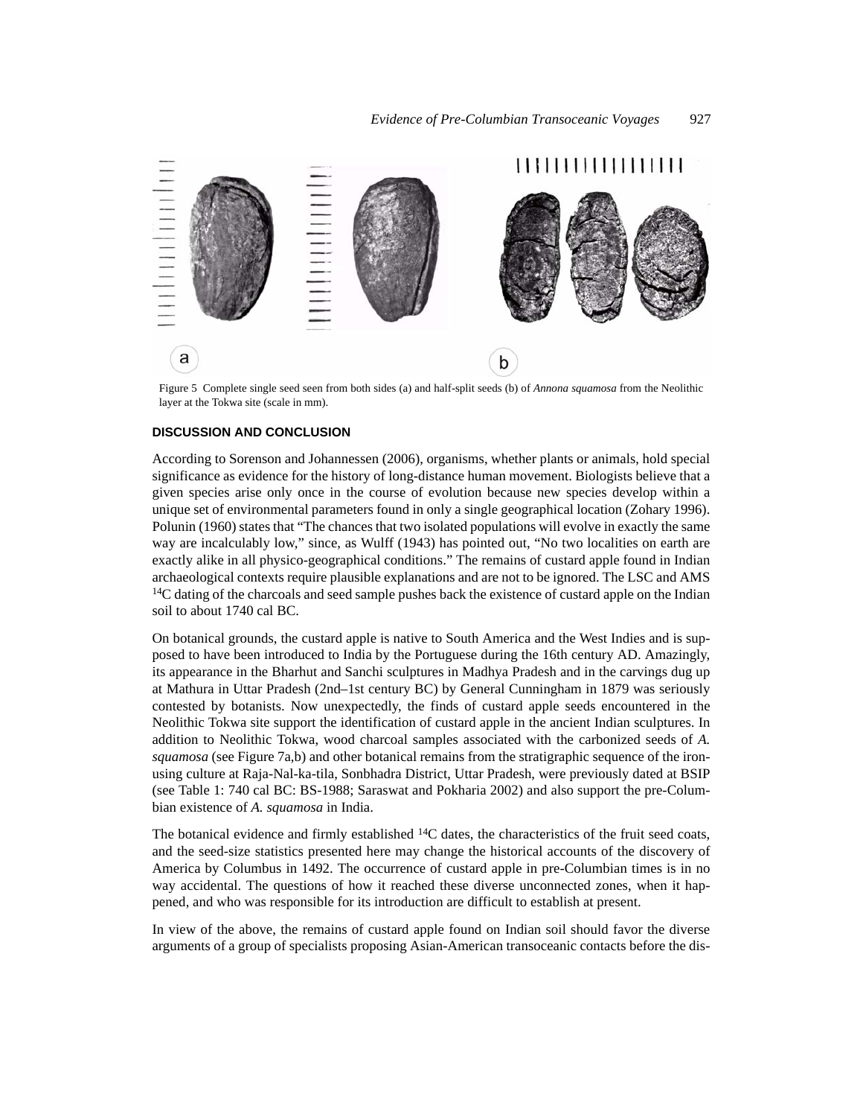

Figure 5 Complete single seed seen from both sides (a) and half-split seeds (b) of *Annona squamosa* from the Neolithic layer at the Tokwa site (scale in mm).

### **DISCUSSION AND CONCLUSION**

According to Sorenson and Johannessen (2006), organisms, whether plants or animals, hold special significance as evidence for the history of long-distance human movement. Biologists believe that a given species arise only once in the course of evolution because new species develop within a unique set of environmental parameters found in only a single geographical location (Zohary 1996). Polunin (1960) states that "The chances that two isolated populations will evolve in exactly the same way are incalculably low," since, as Wulff (1943) has pointed out, "No two localities on earth are exactly alike in all physico-geographical conditions." The remains of custard apple found in Indian archaeological contexts require plausible explanations and are not to be ignored. The LSC and AMS <sup>14</sup>C dating of the charcoals and seed sample pushes back the existence of custard apple on the Indian soil to about 1740 cal BC.

On botanical grounds, the custard apple is native to South America and the West Indies and is supposed to have been introduced to India by the Portuguese during the 16th century AD. Amazingly, its appearance in the Bharhut and Sanchi sculptures in Madhya Pradesh and in the carvings dug up at Mathura in Uttar Pradesh (2nd–1st century BC) by General Cunningham in 1879 was seriously contested by botanists. Now unexpectedly, the finds of custard apple seeds encountered in the Neolithic Tokwa site support the identification of custard apple in the ancient Indian sculptures. In addition to Neolithic Tokwa, wood charcoal samples associated with the carbonized seeds of *A. squamosa* (see Figure 7a,b) and other botanical remains from the stratigraphic sequence of the ironusing culture at Raja-Nal-ka-tila, Sonbhadra District, Uttar Pradesh, were previously dated at BSIP (see Table 1: 740 cal BC: BS-1988; Saraswat and Pokharia 2002) and also support the pre-Columbian existence of *A. squamosa* in India.

The botanical evidence and firmly established  $^{14}$ C dates, the characteristics of the fruit seed coats, and the seed-size statistics presented here may change the historical accounts of the discovery of America by Columbus in 1492. The occurrence of custard apple in pre-Columbian times is in no way accidental. The questions of how it reached these diverse unconnected zones, when it happened, and who was responsible for its introduction are difficult to establish at present.

In view of the above, the remains of custard apple found on Indian soil should favor the diverse arguments of a group of specialists proposing Asian-American transoceanic contacts before the dis-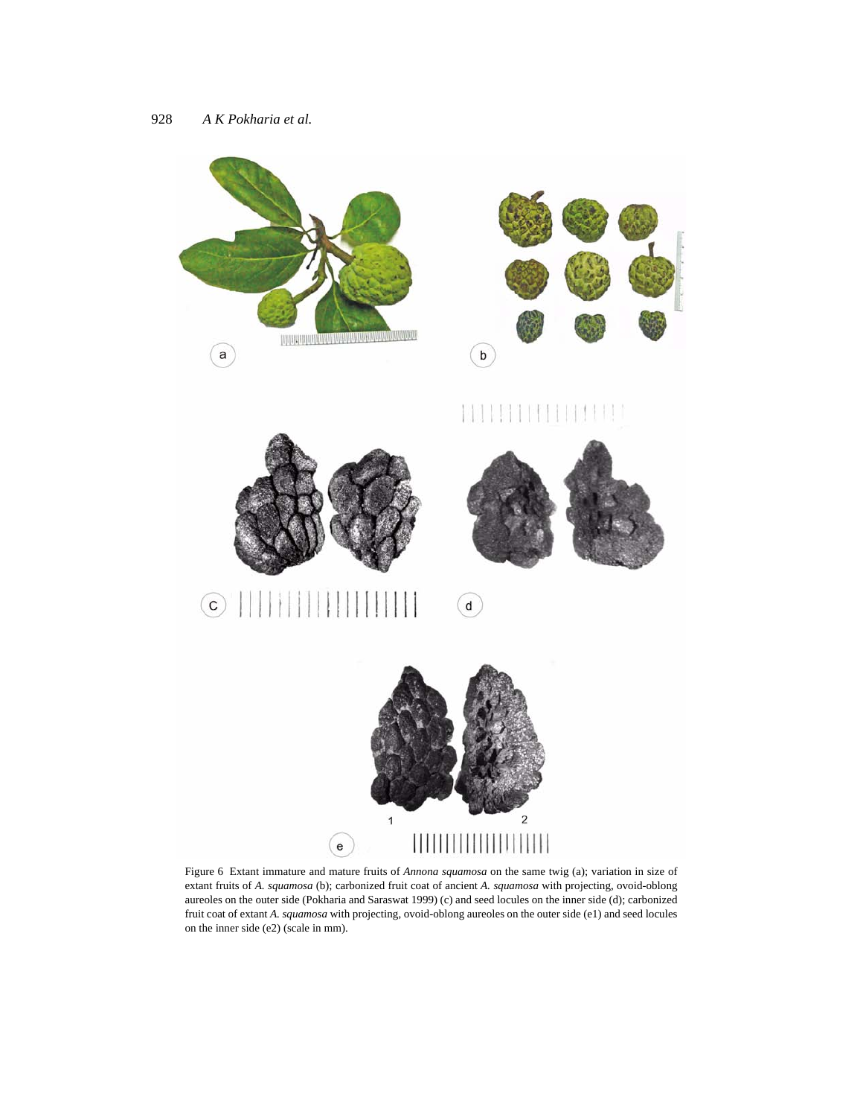







 $\odot$  $\alpha$ 



Figure 6 Extant immature and mature fruits of *Annona squamosa* on the same twig (a); variation in size of extant fruits of *A. squamosa* (b); carbonized fruit coat of ancient *A. squamosa* with projecting, ovoid-oblong aureoles on the outer side (Pokharia and Saraswat 1999) (c) and seed locules on the inner side (d); carbonized fruit coat of extant *A. squamosa* with projecting, ovoid-oblong aureoles on the outer side (e1) and seed locules on the inner side (e2) (scale in mm).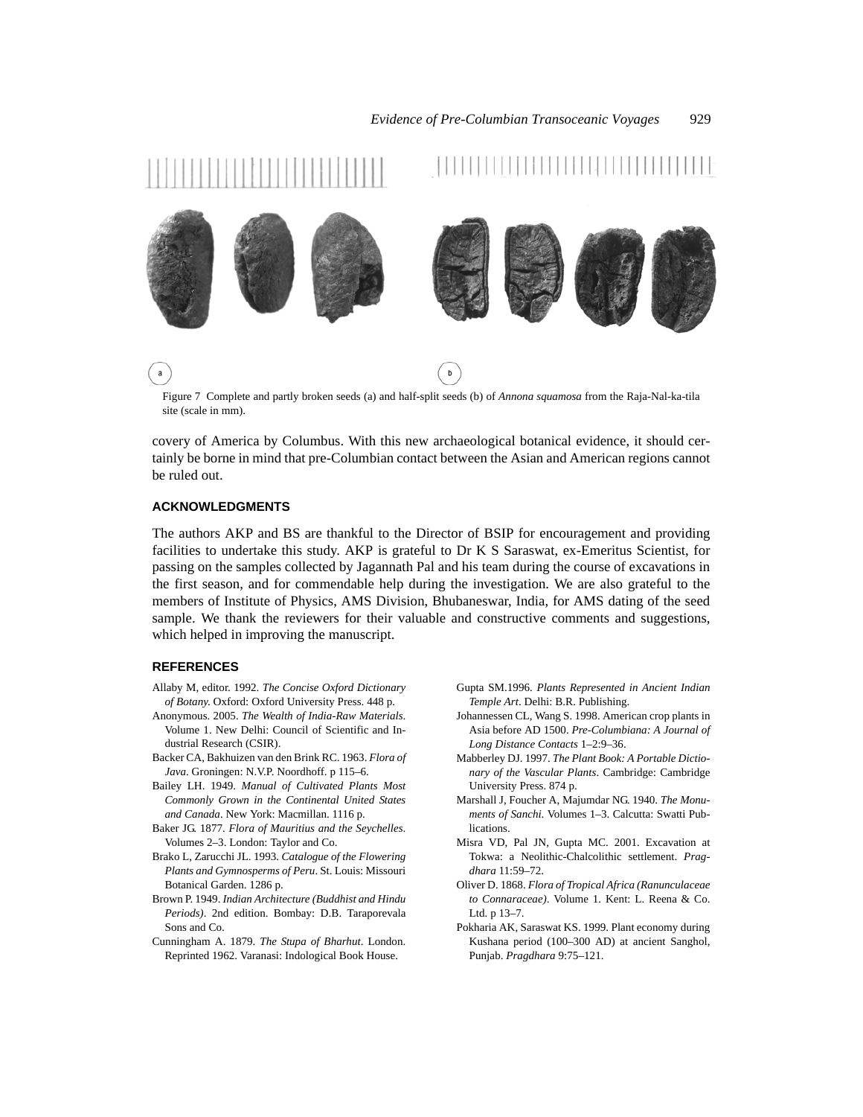

Figure 7 Complete and partly broken seeds (a) and half-split seeds (b) of *Annona squamosa* from the Raja-Nal-ka-tila site (scale in mm).

covery of America by Columbus. With this new archaeological botanical evidence, it should certainly be borne in mind that pre-Columbian contact between the Asian and American regions cannot be ruled out.

### **ACKNOWLEDGMENTS**

The authors AKP and BS are thankful to the Director of BSIP for encouragement and providing facilities to undertake this study. AKP is grateful to Dr K S Saraswat, ex-Emeritus Scientist, for passing on the samples collected by Jagannath Pal and his team during the course of excavations in the first season, and for commendable help during the investigation. We are also grateful to the members of Institute of Physics, AMS Division, Bhubaneswar, India, for AMS dating of the seed sample. We thank the reviewers for their valuable and constructive comments and suggestions, which helped in improving the manuscript.

## **REFERENCES**

- Allaby M, editor. 1992. *The Concise Oxford Dictionary of Botany*. Oxford: Oxford University Press. 448 p.
- Anonymous. 2005. *The Wealth of India-Raw Materials*. Volume 1. New Delhi: Council of Scientific and Industrial Research (CSIR).
- Backer CA, Bakhuizen van den Brink RC. 1963. *Flora of Java*. Groningen: N.V.P. Noordhoff. p 115–6.
- Bailey LH. 1949. *Manual of Cultivated Plants Most Commonly Grown in the Continental United States and Canada*. New York: Macmillan. 1116 p.
- Baker JG. 1877. *Flora of Mauritius and the Seychelles*. Volumes 2–3. London: Taylor and Co.
- Brako L, Zarucchi JL. 1993. *Catalogue of the Flowering Plants and Gymnosperms of Peru*. St. Louis: Missouri Botanical Garden. 1286 p.
- Brown P. 1949. *Indian Architecture (Buddhist and Hindu Periods)*. 2nd edition. Bombay: D.B. Taraporevala Sons and Co.
- Cunningham A. 1879. *The Stupa of Bharhut*. London. Reprinted 1962. Varanasi: Indological Book House.
- Gupta SM.1996. *Plants Represented in Ancient Indian Temple Art*. Delhi: B.R. Publishing.
- Johannessen CL, Wang S. 1998. American crop plants in Asia before AD 1500. *Pre-Columbiana: A Journal of Long Distance Contacts* 1–2:9–36.
- Mabberley DJ. 1997. *The Plant Book: A Portable Dictionary of the Vascular Plants*. Cambridge: Cambridge University Press. 874 p.
- Marshall J, Foucher A, Majumdar NG. 1940. *The Monuments of Sanchi*. Volumes 1–3. Calcutta: Swatti Publications.
- Misra VD, Pal JN, Gupta MC. 2001. Excavation at Tokwa: a Neolithic-Chalcolithic settlement. *Pragdhara* 11:59–72.
- Oliver D. 1868. *Flora of Tropical Africa (Ranunculaceae to Connaraceae)*. Volume 1. Kent: L. Reena & Co. Ltd. p 13–7.
- Pokharia AK, Saraswat KS. 1999. Plant economy during Kushana period (100–300 AD) at ancient Sanghol, Punjab. *Pragdhara* 9:75–121.